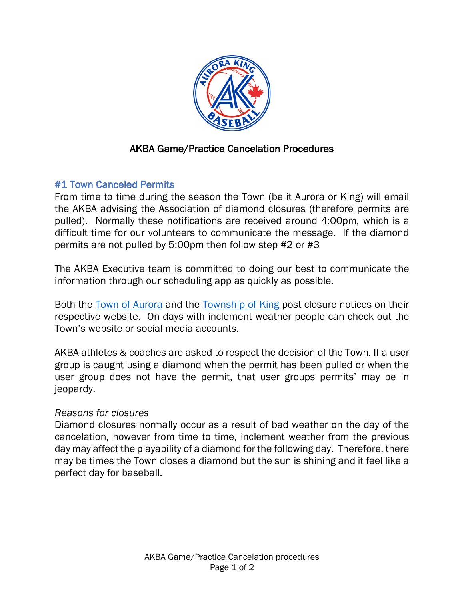

# AKBA Game/Practice Cancelation Procedures

## #1 Town Canceled Permits

From time to time during the season the Town (be it Aurora or King) will email the AKBA advising the Association of diamond closures (therefore permits are pulled). Normally these notifications are received around 4:00pm, which is a difficult time for our volunteers to communicate the message. If the diamond permits are not pulled by 5:00pm then follow step #2 or #3

The AKBA Executive team is committed to doing our best to communicate the information through our scheduling app as quickly as possible.

Both the Town of Aurora and the Township of King post closure notices on their respective website. On days with inclement weather people can check out the Town's website or social media accounts.

AKBA athletes & coaches are asked to respect the decision of the Town. If a user group is caught using a diamond when the permit has been pulled or when the user group does not have the permit, that user groups permits' may be in jeopardy.

### *Reasons for closures*

Diamond closures normally occur as a result of bad weather on the day of the cancelation, however from time to time, inclement weather from the previous day may affect the playability of a diamond for the following day. Therefore, there may be times the Town closes a diamond but the sun is shining and it feel like a perfect day for baseball.